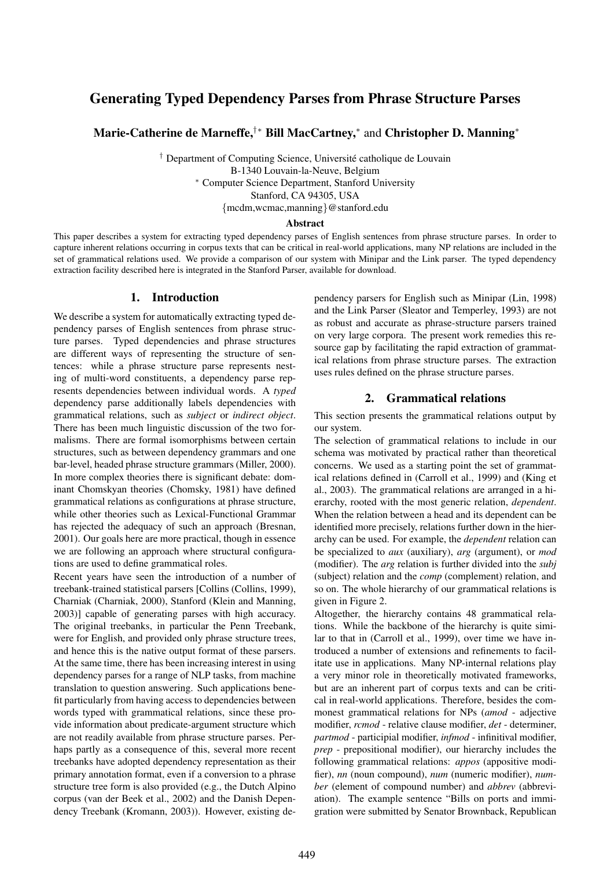# Generating Typed Dependency Parses from Phrase Structure Parses

Marie-Catherine de Marneffe,†∗ Bill MacCartney,<sup>∗</sup> and Christopher D. Manning<sup>∗</sup>

<sup>†</sup> Department of Computing Science, Université catholique de Louvain B-1340 Louvain-la-Neuve, Belgium <sup>∗</sup> Computer Science Department, Stanford University Stanford, CA 94305, USA {mcdm,wcmac,manning}@stanford.edu

### Abstract

This paper describes a system for extracting typed dependency parses of English sentences from phrase structure parses. In order to capture inherent relations occurring in corpus texts that can be critical in real-world applications, many NP relations are included in the set of grammatical relations used. We provide a comparison of our system with Minipar and the Link parser. The typed dependency extraction facility described here is integrated in the Stanford Parser, available for download.

### 1. Introduction

We describe a system for automatically extracting typed dependency parses of English sentences from phrase structure parses. Typed dependencies and phrase structures are different ways of representing the structure of sentences: while a phrase structure parse represents nesting of multi-word constituents, a dependency parse represents dependencies between individual words. A *typed* dependency parse additionally labels dependencies with grammatical relations, such as *subject* or *indirect object*. There has been much linguistic discussion of the two formalisms. There are formal isomorphisms between certain structures, such as between dependency grammars and one bar-level, headed phrase structure grammars (Miller, 2000). In more complex theories there is significant debate: dominant Chomskyan theories (Chomsky, 1981) have defined grammatical relations as configurations at phrase structure, while other theories such as Lexical-Functional Grammar has rejected the adequacy of such an approach (Bresnan, 2001). Our goals here are more practical, though in essence we are following an approach where structural configurations are used to define grammatical roles.

Recent years have seen the introduction of a number of treebank-trained statistical parsers [Collins (Collins, 1999), Charniak (Charniak, 2000), Stanford (Klein and Manning, 2003)] capable of generating parses with high accuracy. The original treebanks, in particular the Penn Treebank, were for English, and provided only phrase structure trees, and hence this is the native output format of these parsers. At the same time, there has been increasing interest in using dependency parses for a range of NLP tasks, from machine translation to question answering. Such applications benefit particularly from having access to dependencies between words typed with grammatical relations, since these provide information about predicate-argument structure which are not readily available from phrase structure parses. Perhaps partly as a consequence of this, several more recent treebanks have adopted dependency representation as their primary annotation format, even if a conversion to a phrase structure tree form is also provided (e.g., the Dutch Alpino corpus (van der Beek et al., 2002) and the Danish Dependency Treebank (Kromann, 2003)). However, existing dependency parsers for English such as Minipar (Lin, 1998) and the Link Parser (Sleator and Temperley, 1993) are not as robust and accurate as phrase-structure parsers trained on very large corpora. The present work remedies this resource gap by facilitating the rapid extraction of grammatical relations from phrase structure parses. The extraction uses rules defined on the phrase structure parses.

# 2. Grammatical relations

This section presents the grammatical relations output by our system.

The selection of grammatical relations to include in our schema was motivated by practical rather than theoretical concerns. We used as a starting point the set of grammatical relations defined in (Carroll et al., 1999) and (King et al., 2003). The grammatical relations are arranged in a hierarchy, rooted with the most generic relation, *dependent*. When the relation between a head and its dependent can be identified more precisely, relations further down in the hierarchy can be used. For example, the *dependent* relation can be specialized to *aux* (auxiliary), *arg* (argument), or *mod* (modifier). The *arg* relation is further divided into the *subj* (subject) relation and the *comp* (complement) relation, and so on. The whole hierarchy of our grammatical relations is given in Figure 2.

Altogether, the hierarchy contains 48 grammatical relations. While the backbone of the hierarchy is quite similar to that in (Carroll et al., 1999), over time we have introduced a number of extensions and refinements to facilitate use in applications. Many NP-internal relations play a very minor role in theoretically motivated frameworks, but are an inherent part of corpus texts and can be critical in real-world applications. Therefore, besides the commonest grammatical relations for NPs (*amod* - adjective modifier, *rcmod* - relative clause modifier, *det* - determiner, *partmod* - participial modifier, *infmod* - infinitival modifier, *prep* - prepositional modifier), our hierarchy includes the following grammatical relations: *appos* (appositive modifier), *nn* (noun compound), *num* (numeric modifier), *number* (element of compound number) and *abbrev* (abbreviation). The example sentence "Bills on ports and immigration were submitted by Senator Brownback, Republican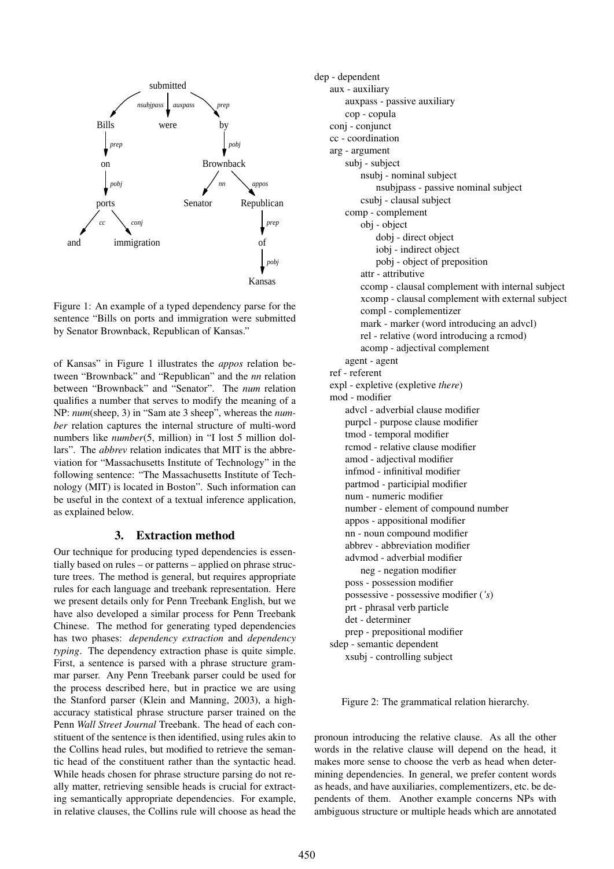

Figure 1: An example of a typed dependency parse for the sentence "Bills on ports and immigration were submitted by Senator Brownback, Republican of Kansas."

of Kansas" in Figure 1 illustrates the *appos* relation between "Brownback" and "Republican" and the *nn* relation between "Brownback" and "Senator". The *num* relation qualifies a number that serves to modify the meaning of a NP: *num*(sheep, 3) in "Sam ate 3 sheep", whereas the *number* relation captures the internal structure of multi-word numbers like *number*(5, million) in "I lost 5 million dollars". The *abbrev* relation indicates that MIT is the abbreviation for "Massachusetts Institute of Technology" in the following sentence: "The Massachusetts Institute of Technology (MIT) is located in Boston". Such information can be useful in the context of a textual inference application, as explained below.

# 3. Extraction method

Our technique for producing typed dependencies is essentially based on rules – or patterns – applied on phrase structure trees. The method is general, but requires appropriate rules for each language and treebank representation. Here we present details only for Penn Treebank English, but we have also developed a similar process for Penn Treebank Chinese. The method for generating typed dependencies has two phases: *dependency extraction* and *dependency typing*. The dependency extraction phase is quite simple. First, a sentence is parsed with a phrase structure grammar parser. Any Penn Treebank parser could be used for the process described here, but in practice we are using the Stanford parser (Klein and Manning, 2003), a highaccuracy statistical phrase structure parser trained on the Penn *Wall Street Journal* Treebank. The head of each constituent of the sentence is then identified, using rules akin to the Collins head rules, but modified to retrieve the semantic head of the constituent rather than the syntactic head. While heads chosen for phrase structure parsing do not really matter, retrieving sensible heads is crucial for extracting semantically appropriate dependencies. For example, in relative clauses, the Collins rule will choose as head the

```
dep - dependent
aux - auxiliary
    auxpass - passive auxiliary
    cop - copula
conj - conjunct
cc - coordination
arg - argument
    subj - subject
        nsubj - nominal subject
            nsubjpass - passive nominal subject
        csubj - clausal subject
    comp - complement
        obj - object
            dobj - direct object
            iobj - indirect object
            pobj - object of preposition
        attr - attributive
        ccomp - clausal complement with internal subject
        xcomp - clausal complement with external subject
        compl - complementizer
        mark - marker (word introducing an advcl)
        rel - relative (word introducing a rcmod)
        acomp - adjectival complement
    agent - agent
ref - referent
expl - expletive (expletive there)
mod - modifier
    advcl - adverbial clause modifier
    purpcl - purpose clause modifier
    tmod - temporal modifier
    rcmod - relative clause modifier
    amod - adjectival modifier
    infmod - infinitival modifier
    partmod - participial modifier
    num - numeric modifier
    number - element of compound number
    appos - appositional modifier
    nn - noun compound modifier
    abbrev - abbreviation modifier
    advmod - adverbial modifier
        neg - negation modifier
    poss - possession modifier
    possessive - possessive modifier ('s)
    prt - phrasal verb particle
    det - determiner
    prep - prepositional modifier
sdep - semantic dependent
    xsubj - controlling subject
```
Figure 2: The grammatical relation hierarchy.

pronoun introducing the relative clause. As all the other words in the relative clause will depend on the head, it makes more sense to choose the verb as head when determining dependencies. In general, we prefer content words as heads, and have auxiliaries, complementizers, etc. be dependents of them. Another example concerns NPs with ambiguous structure or multiple heads which are annotated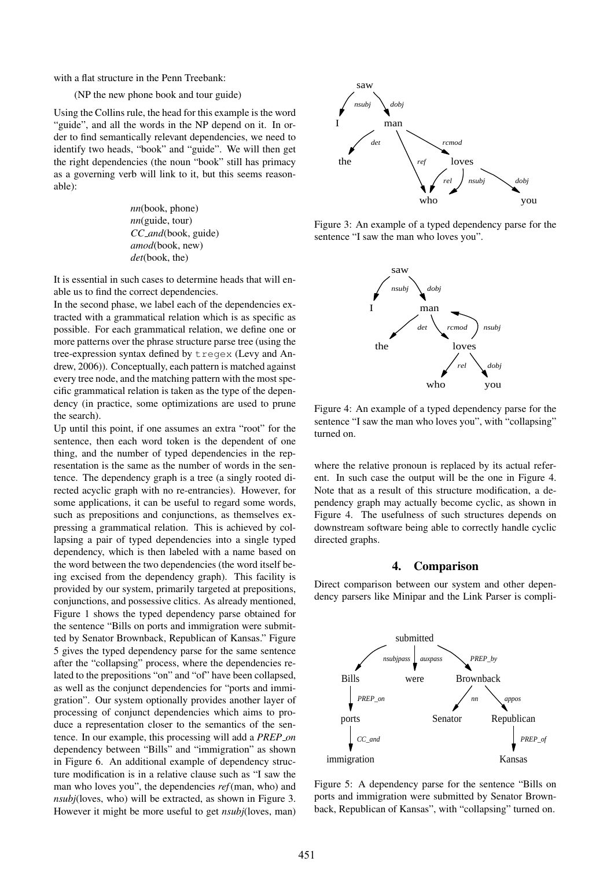with a flat structure in the Penn Treebank:

(NP the new phone book and tour guide)

Using the Collins rule, the head for this example is the word "guide", and all the words in the NP depend on it. In order to find semantically relevant dependencies, we need to identify two heads, "book" and "guide". We will then get the right dependencies (the noun "book" still has primacy as a governing verb will link to it, but this seems reasonable):

> *nn*(book, phone) *nn*(guide, tour) *CC and*(book, guide) *amod*(book, new) *det*(book, the)

It is essential in such cases to determine heads that will enable us to find the correct dependencies.

In the second phase, we label each of the dependencies extracted with a grammatical relation which is as specific as possible. For each grammatical relation, we define one or more patterns over the phrase structure parse tree (using the tree-expression syntax defined by tregex (Levy and Andrew, 2006)). Conceptually, each pattern is matched against every tree node, and the matching pattern with the most specific grammatical relation is taken as the type of the dependency (in practice, some optimizations are used to prune the search).

Up until this point, if one assumes an extra "root" for the sentence, then each word token is the dependent of one thing, and the number of typed dependencies in the representation is the same as the number of words in the sentence. The dependency graph is a tree (a singly rooted directed acyclic graph with no re-entrancies). However, for some applications, it can be useful to regard some words, such as prepositions and conjunctions, as themselves expressing a grammatical relation. This is achieved by collapsing a pair of typed dependencies into a single typed dependency, which is then labeled with a name based on the word between the two dependencies (the word itself being excised from the dependency graph). This facility is provided by our system, primarily targeted at prepositions, conjunctions, and possessive clitics. As already mentioned, Figure 1 shows the typed dependency parse obtained for the sentence "Bills on ports and immigration were submitted by Senator Brownback, Republican of Kansas." Figure 5 gives the typed dependency parse for the same sentence after the "collapsing" process, where the dependencies related to the prepositions "on" and "of" have been collapsed, as well as the conjunct dependencies for "ports and immigration". Our system optionally provides another layer of processing of conjunct dependencies which aims to produce a representation closer to the semantics of the sentence. In our example, this processing will add a *PREP on* dependency between "Bills" and "immigration" as shown in Figure 6. An additional example of dependency structure modification is in a relative clause such as "I saw the man who loves you", the dependencies *ref*(man, who) and *nsubj*(loves, who) will be extracted, as shown in Figure 3. However it might be more useful to get *nsubj*(loves, man)



Figure 3: An example of a typed dependency parse for the sentence "I saw the man who loves you".



Figure 4: An example of a typed dependency parse for the sentence "I saw the man who loves you", with "collapsing" turned on.

where the relative pronoun is replaced by its actual referent. In such case the output will be the one in Figure 4. Note that as a result of this structure modification, a dependency graph may actually become cyclic, as shown in Figure 4. The usefulness of such structures depends on downstream software being able to correctly handle cyclic directed graphs.

#### 4. Comparison

Direct comparison between our system and other dependency parsers like Minipar and the Link Parser is compli-



Figure 5: A dependency parse for the sentence "Bills on ports and immigration were submitted by Senator Brownback, Republican of Kansas", with "collapsing" turned on.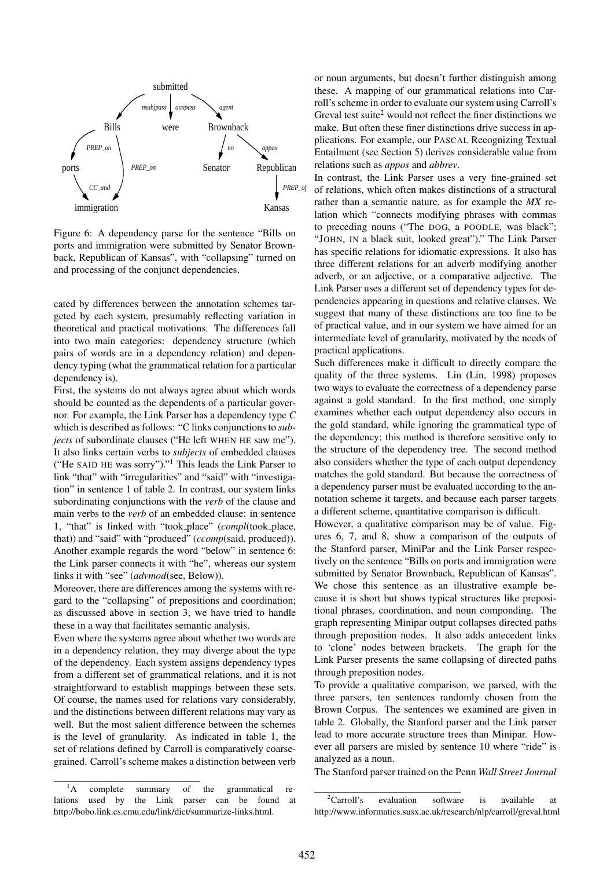

Figure 6: A dependency parse for the sentence "Bills on ports and immigration were submitted by Senator Brownback, Republican of Kansas", with "collapsing" turned on and processing of the conjunct dependencies.

cated by differences between the annotation schemes targeted by each system, presumably reflecting variation in theoretical and practical motivations. The differences fall into two main categories: dependency structure (which pairs of words are in a dependency relation) and dependency typing (what the grammatical relation for a particular dependency is).

First, the systems do not always agree about which words should be counted as the dependents of a particular governor. For example, the Link Parser has a dependency type *C* which is described as follows: "C links conjunctions to *subjects* of subordinate clauses ("He left WHEN HE saw me"). It also links certain verbs to *subjects* of embedded clauses ("He SAID HE was sorry")."<sup>1</sup> This leads the Link Parser to link "that" with "irregularities" and "said" with "investigation" in sentence 1 of table 2. In contrast, our system links subordinating conjunctions with the *verb* of the clause and main verbs to the *verb* of an embedded clause: in sentence 1, "that" is linked with "took place" (*compl*(took place, that)) and "said" with "produced" (*ccomp*(said, produced)). Another example regards the word "below" in sentence 6: the Link parser connects it with "he", whereas our system links it with "see" (*advmod*(see, Below)).

Moreover, there are differences among the systems with regard to the "collapsing" of prepositions and coordination; as discussed above in section 3, we have tried to handle these in a way that facilitates semantic analysis.

Even where the systems agree about whether two words are in a dependency relation, they may diverge about the type of the dependency. Each system assigns dependency types from a different set of grammatical relations, and it is not straightforward to establish mappings between these sets. Of course, the names used for relations vary considerably, and the distinctions between different relations may vary as well. But the most salient difference between the schemes is the level of granularity. As indicated in table 1, the set of relations defined by Carroll is comparatively coarsegrained. Carroll's scheme makes a distinction between verb

<sup>1</sup>A complete summary of the grammatical relations used by the Link parser can be found at http://bobo.link.cs.cmu.edu/link/dict/summarize-links.html.

or noun arguments, but doesn't further distinguish among these. A mapping of our grammatical relations into Carroll's scheme in order to evaluate our system using Carroll's Greval test suite<sup>2</sup> would not reflect the finer distinctions we make. But often these finer distinctions drive success in applications. For example, our PASCAL Recognizing Textual Entailment (see Section 5) derives considerable value from relations such as *appos* and *abbrev*.

In contrast, the Link Parser uses a very fine-grained set of relations, which often makes distinctions of a structural rather than a semantic nature, as for example the *MX* relation which "connects modifying phrases with commas to preceding nouns ("The DOG, a POODLE, was black"; "JOHN, IN a black suit, looked great")." The Link Parser has specific relations for idiomatic expressions. It also has three different relations for an adverb modifying another adverb, or an adjective, or a comparative adjective. The Link Parser uses a different set of dependency types for dependencies appearing in questions and relative clauses. We suggest that many of these distinctions are too fine to be of practical value, and in our system we have aimed for an intermediate level of granularity, motivated by the needs of practical applications.

Such differences make it difficult to directly compare the quality of the three systems. Lin (Lin, 1998) proposes two ways to evaluate the correctness of a dependency parse against a gold standard. In the first method, one simply examines whether each output dependency also occurs in the gold standard, while ignoring the grammatical type of the dependency; this method is therefore sensitive only to the structure of the dependency tree. The second method also considers whether the type of each output dependency matches the gold standard. But because the correctness of a dependency parser must be evaluated according to the annotation scheme it targets, and because each parser targets a different scheme, quantitative comparison is difficult.

However, a qualitative comparison may be of value. Figures 6, 7, and 8, show a comparison of the outputs of the Stanford parser, MiniPar and the Link Parser respectively on the sentence "Bills on ports and immigration were submitted by Senator Brownback, Republican of Kansas". We chose this sentence as an illustrative example because it is short but shows typical structures like prepositional phrases, coordination, and noun componding. The graph representing Minipar output collapses directed paths through preposition nodes. It also adds antecedent links to 'clone' nodes between brackets. The graph for the Link Parser presents the same collapsing of directed paths through preposition nodes.

To provide a qualitative comparison, we parsed, with the three parsers, ten sentences randomly chosen from the Brown Corpus. The sentences we examined are given in table 2. Globally, the Stanford parser and the Link parser lead to more accurate structure trees than Minipar. However all parsers are misled by sentence 10 where "ride" is analyzed as a noun.

The Stanford parser trained on the Penn *Wall Street Journal*

 ${}^{2}$ Carroll's evaluation software is available at http://www.informatics.susx.ac.uk/research/nlp/carroll/greval.html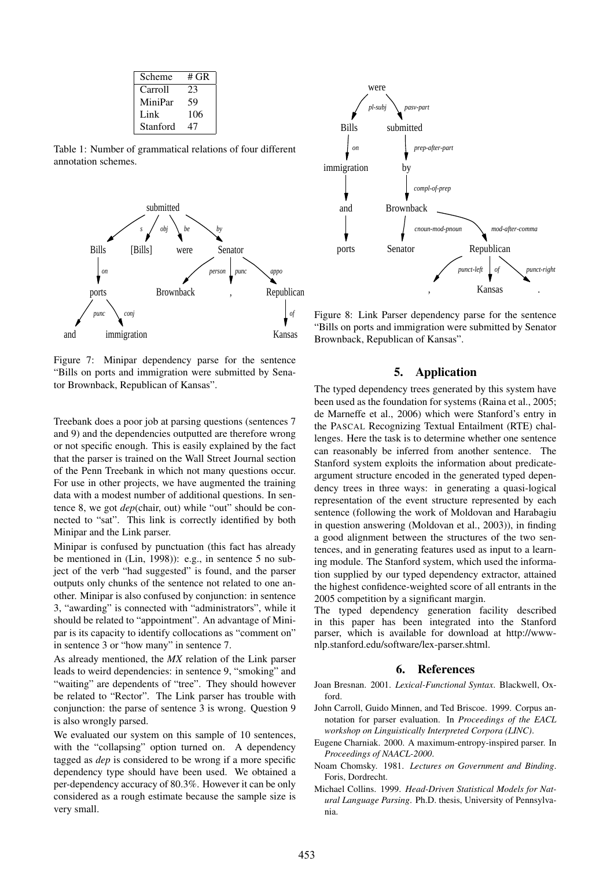| Scheme   | # GR |
|----------|------|
| Carroll  | 23   |
| MiniPar  | 59   |
| Link     | 106  |
| Stanford | 47   |

Table 1: Number of grammatical relations of four different annotation schemes.



Figure 7: Minipar dependency parse for the sentence "Bills on ports and immigration were submitted by Senator Brownback, Republican of Kansas".

Treebank does a poor job at parsing questions (sentences 7 and 9) and the dependencies outputted are therefore wrong or not specific enough. This is easily explained by the fact that the parser is trained on the Wall Street Journal section of the Penn Treebank in which not many questions occur. For use in other projects, we have augmented the training data with a modest number of additional questions. In sentence 8, we got *dep*(chair, out) while "out" should be connected to "sat". This link is correctly identified by both Minipar and the Link parser.

Minipar is confused by punctuation (this fact has already be mentioned in (Lin, 1998)): e.g., in sentence 5 no subject of the verb "had suggested" is found, and the parser outputs only chunks of the sentence not related to one another. Minipar is also confused by conjunction: in sentence 3, "awarding" is connected with "administrators", while it should be related to "appointment". An advantage of Minipar is its capacity to identify collocations as "comment on" in sentence 3 or "how many" in sentence 7.

As already mentioned, the *MX* relation of the Link parser leads to weird dependencies: in sentence 9, "smoking" and "waiting" are dependents of "tree". They should however be related to "Rector". The Link parser has trouble with conjunction: the parse of sentence 3 is wrong. Question 9 is also wrongly parsed.

We evaluated our system on this sample of 10 sentences, with the "collapsing" option turned on. A dependency tagged as *dep* is considered to be wrong if a more specific dependency type should have been used. We obtained a per-dependency accuracy of 80.3%. However it can be only considered as a rough estimate because the sample size is very small.



Figure 8: Link Parser dependency parse for the sentence "Bills on ports and immigration were submitted by Senator Brownback, Republican of Kansas".

## 5. Application

The typed dependency trees generated by this system have been used as the foundation for systems (Raina et al., 2005; de Marneffe et al., 2006) which were Stanford's entry in the PASCAL Recognizing Textual Entailment (RTE) challenges. Here the task is to determine whether one sentence can reasonably be inferred from another sentence. The Stanford system exploits the information about predicateargument structure encoded in the generated typed dependency trees in three ways: in generating a quasi-logical representation of the event structure represented by each sentence (following the work of Moldovan and Harabagiu in question answering (Moldovan et al., 2003)), in finding a good alignment between the structures of the two sentences, and in generating features used as input to a learning module. The Stanford system, which used the information supplied by our typed dependency extractor, attained the highest confidence-weighted score of all entrants in the 2005 competition by a significant margin.

The typed dependency generation facility described in this paper has been integrated into the Stanford parser, which is available for download at http://wwwnlp.stanford.edu/software/lex-parser.shtml.

### 6. References

- Joan Bresnan. 2001. *Lexical-Functional Syntax*. Blackwell, Oxford.
- John Carroll, Guido Minnen, and Ted Briscoe. 1999. Corpus annotation for parser evaluation. In *Proceedings of the EACL workshop on Linguistically Interpreted Corpora (LINC)*.
- Eugene Charniak. 2000. A maximum-entropy-inspired parser. In *Proceedings of NAACL-2000*.
- Noam Chomsky. 1981. *Lectures on Government and Binding*. Foris, Dordrecht.
- Michael Collins. 1999. *Head-Driven Statistical Models for Natural Language Parsing*. Ph.D. thesis, University of Pennsylvania.